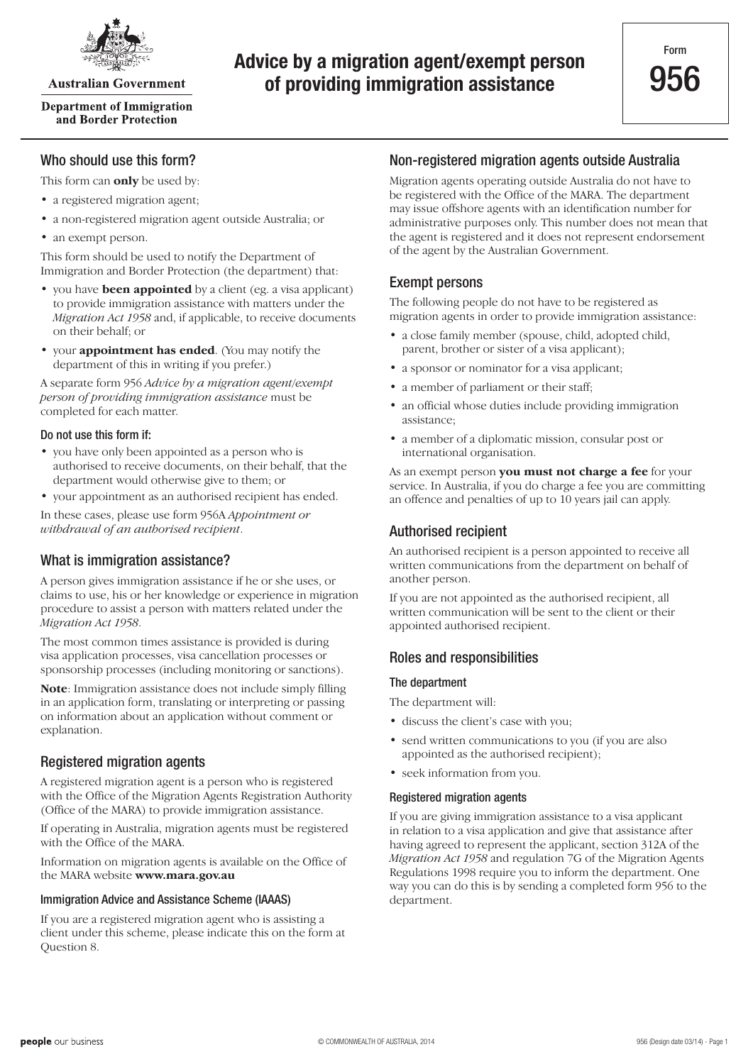

**Australian Government** 

**Department of Immigration** and Border Protection

# **Advice by a migration agent/exempt person of providing immigration assistance**

# Who should use this form?

This form can **only** be used by:

- a registered migration agent;
- a non-registered migration agent outside Australia; or
- an exempt person.

This form should be used to notify the Department of Immigration and Border Protection (the department) that:

- you have **been appointed** by a client (eg. a visa applicant) to provide immigration assistance with matters under the *Migration Act 1958* and, if applicable, to receive documents on their behalf; or
- • your **appointment has ended**. (You may notify the department of this in writing if you prefer.)

A separate form 956 *Advice by a migration agent/exempt person of providing immigration assistance* must be completed for each matter.

#### Do not use this form if:

- you have only been appointed as a person who is authorised to receive documents, on their behalf, that the department would otherwise give to them; or
- vour appointment as an authorised recipient has ended.

In these cases, please use form 956A *Appointment or withdrawal of an authorised recipient*.

### What is immigration assistance?

A person gives immigration assistance if he or she uses, or claims to use, his or her knowledge or experience in migration procedure to assist a person with matters related under the *Migration Act 1958*.

The most common times assistance is provided is during visa application processes, visa cancellation processes or sponsorship processes (including monitoring or sanctions).

**Note**: Immigration assistance does not include simply filling in an application form, translating or interpreting or passing on information about an application without comment or explanation.

### Registered migration agents

A registered migration agent is a person who is registered with the Office of the Migration Agents Registration Authority (Office of the MARA) to provide immigration assistance.

If operating in Australia, migration agents must be registered with the Office of the MARA.

Information on migration agents is available on the Office of the MARA website **www.mara.gov.au**

#### Immigration Advice and Assistance Scheme (IAAAS)

If you are a registered migration agent who is assisting a client under this scheme, please indicate this on the form at Question 8.

### Non-registered migration agents outside Australia

Migration agents operating outside Australia do not have to be registered with the Office of the MARA. The department may issue offshore agents with an identification number for administrative purposes only. This number does not mean that the agent is registered and it does not represent endorsement of the agent by the Australian Government.

## Exempt persons

The following people do not have to be registered as migration agents in order to provide immigration assistance:

- a close family member (spouse, child, adopted child, parent, brother or sister of a visa applicant);
- a sponsor or nominator for a visa applicant;
- a member of parliament or their staff;
- an official whose duties include providing immigration assistance;
- a member of a diplomatic mission, consular post or international organisation.

As an exempt person **you must not charge a fee** for your service. In Australia, if you do charge a fee you are committing an offence and penalties of up to 10 years jail can apply.

### Authorised recipient

An authorised recipient is a person appointed to receive all written communications from the department on behalf of another person.

If you are not appointed as the authorised recipient, all written communication will be sent to the client or their appointed authorised recipient.

### Roles and responsibilities

#### The department

The department will:

- discuss the client's case with you;
- send written communications to you (if you are also appointed as the authorised recipient);
- seek information from you.

#### Registered migration agents

If you are giving immigration assistance to a visa applicant in relation to a visa application and give that assistance after having agreed to represent the applicant, section 312A of the *Migration Act 1958* and regulation 7G of the Migration Agents Regulations 1998 require you to inform the department. One way you can do this is by sending a completed form 956 to the department.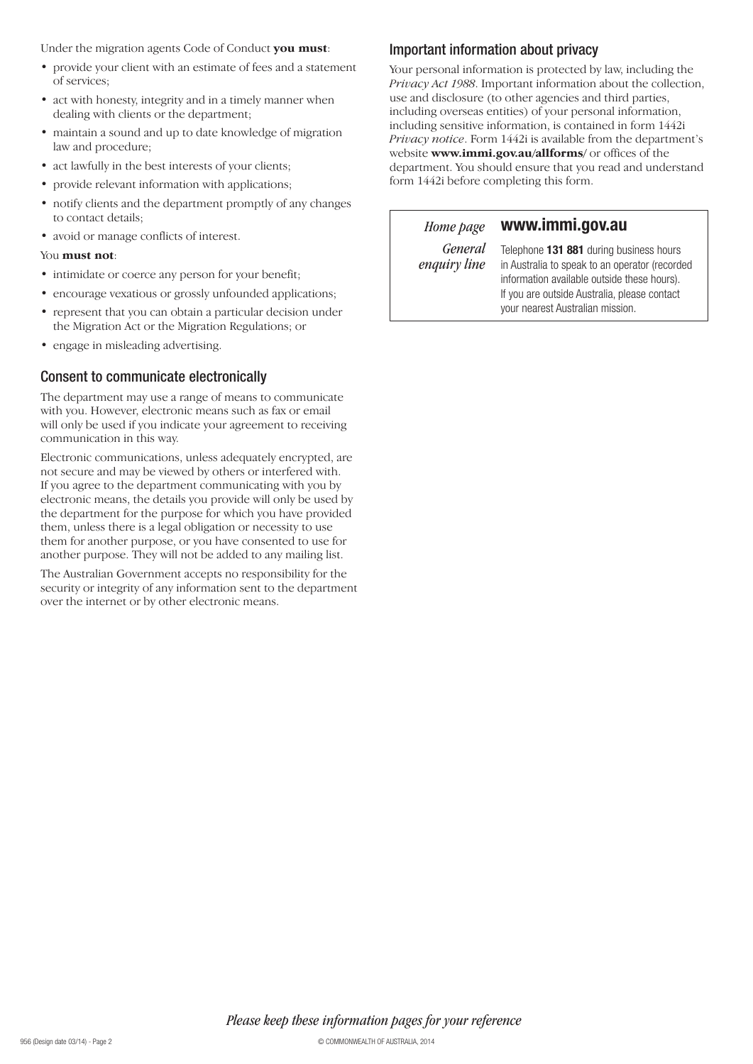Under the migration agents Code of Conduct **you must**:

- provide your client with an estimate of fees and a statement of services;
- act with honesty, integrity and in a timely manner when dealing with clients or the department;
- maintain a sound and up to date knowledge of migration law and procedure;
- act lawfully in the best interests of your clients;
- provide relevant information with applications;
- notify clients and the department promptly of any changes to contact details;
- avoid or manage conflicts of interest.

#### You **must not**:

- intimidate or coerce any person for your benefit;
- encourage vexatious or grossly unfounded applications;
- represent that you can obtain a particular decision under the Migration Act or the Migration Regulations; or
- engage in misleading advertising.

### Consent to communicate electronically

The department may use a range of means to communicate with you. However, electronic means such as fax or email will only be used if you indicate your agreement to receiving communication in this way.

Electronic communications, unless adequately encrypted, are not secure and may be viewed by others or interfered with. If you agree to the department communicating with you by electronic means, the details you provide will only be used by the department for the purpose for which you have provided them, unless there is a legal obligation or necessity to use them for another purpose, or you have consented to use for another purpose. They will not be added to any mailing list.

The Australian Government accepts no responsibility for the security or integrity of any information sent to the department over the internet or by other electronic means.

# Important information about privacy

Your personal information is protected by law, including the *Privacy Act 1988*. Important information about the collection, use and disclosure (to other agencies and third parties, including overseas entities) of your personal information, including sensitive information, is contained in form 1442i *Privacy notice*. Form 1442i is available from the department's website **www.immi.gov.au/allforms/** or offices of the department. You should ensure that you read and understand form 1442i before completing this form.

*Home page*

# **www.immi.gov.au**

*General enquiry line*

Telephone **131 881** during business hours in Australia to speak to an operator (recorded information available outside these hours). If you are outside Australia, please contact your nearest Australian mission.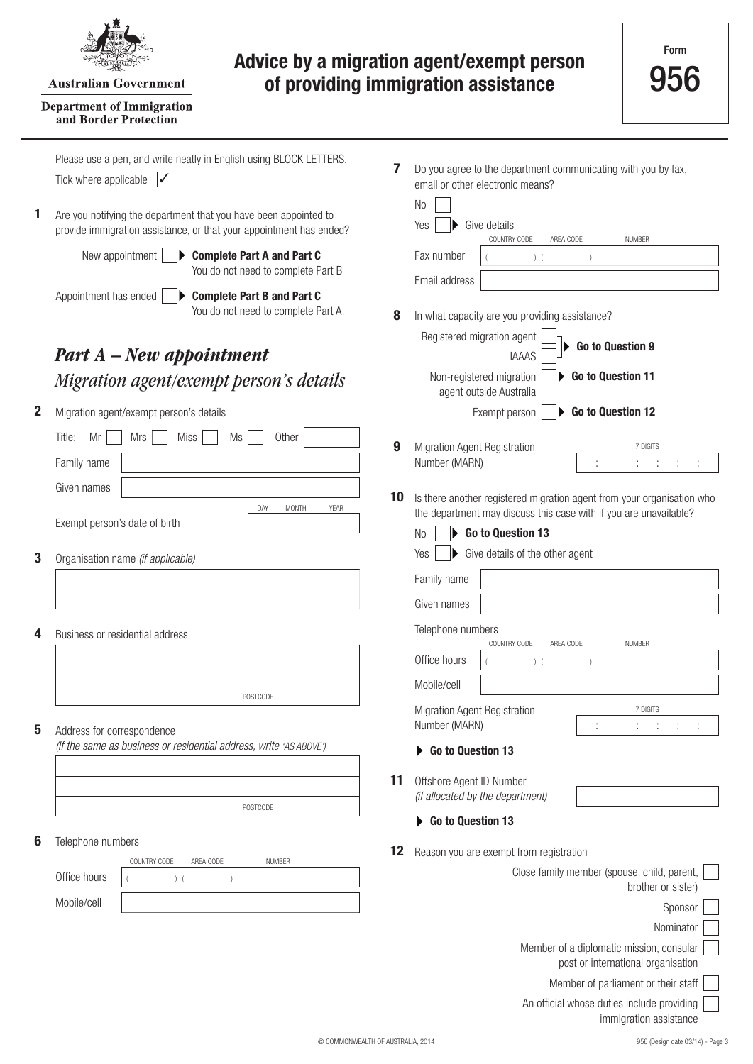

#### **Australian Government**

#### **Department of Immigration** and Border Protection

# **Advice by a migration agent/exempt person of providing immigration assistance**

|   | Please use a pen, and write neatly in English using BLOCK LETTERS.<br>Tick where applicable<br>✓                                        | 7  | Do you agree to the department communicating with you by fax,<br>email or other electronic means?                                           |
|---|-----------------------------------------------------------------------------------------------------------------------------------------|----|---------------------------------------------------------------------------------------------------------------------------------------------|
| 1 | Are you notifying the department that you have been appointed to<br>provide immigration assistance, or that your appointment has ended? |    | N <sub>0</sub><br>Yes<br>Give details<br>COUNTRY CODE<br>AREA CODE<br><b>NUMBER</b>                                                         |
|   | New appointment<br><b>Complete Part A and Part C</b><br>You do not need to complete Part B                                              |    | Fax number<br>$)$ (<br>Email address                                                                                                        |
|   | Appointment has ended<br><b>Complete Part B and Part C</b><br>You do not need to complete Part A.                                       | 8  | In what capacity are you providing assistance?                                                                                              |
|   | <b>Part A</b> – New appointment                                                                                                         |    | Registered migration agent<br>Go to Question 9<br><b>IAAAS</b>                                                                              |
|   | Migration agent/exempt person's details                                                                                                 |    | Non-registered migration<br>Go to Question 11<br>agent outside Australia                                                                    |
| 2 | Migration agent/exempt person's details                                                                                                 |    | Go to Question 12<br>Exempt person                                                                                                          |
|   | Other<br>Title:<br>Mr<br><b>Mrs</b><br><b>Miss</b><br>Ms<br>Family name                                                                 | 9  | Migration Agent Registration<br>7 DIGITS<br>Number (MARN)                                                                                   |
|   | Given names                                                                                                                             |    |                                                                                                                                             |
|   | DAY<br><b>MONTH</b><br><b>YEAR</b><br>Exempt person's date of birth                                                                     | 10 | Is there another registered migration agent from your organisation who<br>the department may discuss this case with if you are unavailable? |
|   |                                                                                                                                         |    | Go to Question 13<br>N <sub>o</sub><br>Give details of the other agent<br>Yes                                                               |
| 3 | Organisation name (if applicable)                                                                                                       |    | Family name                                                                                                                                 |
|   |                                                                                                                                         |    | Given names                                                                                                                                 |
|   |                                                                                                                                         |    | Telephone numbers                                                                                                                           |
| 4 | Business or residential address                                                                                                         |    | COUNTRY CODE<br>AREA CODE<br><b>NUMBER</b>                                                                                                  |
|   |                                                                                                                                         |    | Office hours<br>$)$ (                                                                                                                       |
|   | POSTCODE                                                                                                                                |    | Mobile/cell                                                                                                                                 |
| 5 | Address for correspondence                                                                                                              |    | Migration Agent Registration<br>7 DIGITS<br>Number (MARN)                                                                                   |
|   | (If the same as business or residential address, write 'AS ABOVE')                                                                      |    | Go to Question 13                                                                                                                           |
|   |                                                                                                                                         | 11 | Offshore Agent ID Number<br>(if allocated by the department)                                                                                |
|   | POSTCODE                                                                                                                                |    | Go to Question 13                                                                                                                           |
| 6 | Telephone numbers                                                                                                                       | 12 | Reason you are exempt from registration                                                                                                     |
|   | COUNTRY CODE<br>AREA CODE<br><b>NUMBER</b><br>Office hours<br>$)$ (                                                                     |    | Close family member (spouse, child, parent,                                                                                                 |
|   | Mobile/cell                                                                                                                             |    | brother or sister)<br>Sponsor                                                                                                               |
|   |                                                                                                                                         |    | Nominator                                                                                                                                   |
|   |                                                                                                                                         |    | Member of a diplomatic mission, consular<br>post or international organisation                                                              |

An official whose duties include providing

Member of parliament or their staff

immigration assistance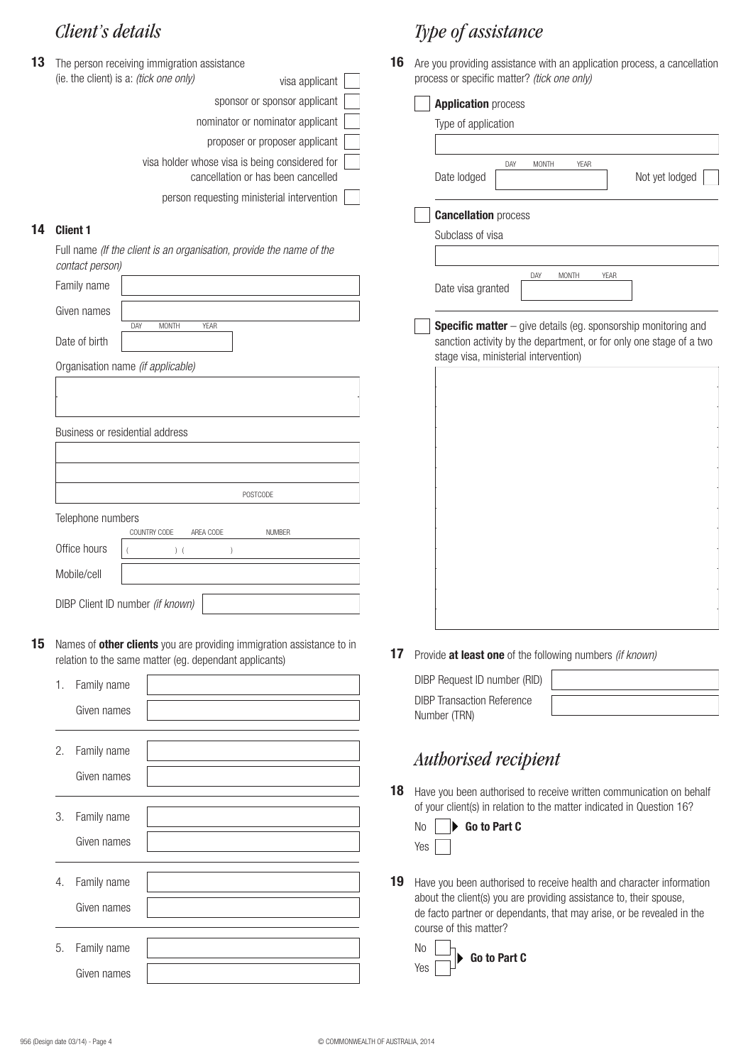| 13 | The person receiving immigration assistance                                          | 16 |
|----|--------------------------------------------------------------------------------------|----|
|    | (ie. the client) is a: <i>(tick one only)</i><br>visa applicant                      |    |
|    | sponsor or sponsor applicant                                                         |    |
|    | nominator or nominator applicant                                                     |    |
|    | proposer or proposer applicant                                                       |    |
|    | visa holder whose visa is being considered for<br>cancellation or has been cancelled |    |
|    | person requesting ministerial intervention                                           |    |
|    |                                                                                      |    |

### **14 Client 1**

Full name *(If the client is an organisation, provide the name of the contact person)*

| Family name                     |                                    |                 |
|---------------------------------|------------------------------------|-----------------|
| Given names                     |                                    |                 |
| Date of birth                   | DAY<br><b>MONTH</b><br><b>YEAR</b> |                 |
|                                 |                                    |                 |
|                                 | Organisation name (if applicable)  |                 |
|                                 |                                    |                 |
|                                 |                                    |                 |
| Business or residential address |                                    |                 |
|                                 |                                    |                 |
|                                 |                                    |                 |
|                                 |                                    | <b>POSTCODE</b> |
| Telephone numbers               |                                    |                 |
|                                 | COUNTRY CODE<br>AREA CODE          | <b>NUMBER</b>   |
| Office hours                    | (                                  |                 |
| Mobile/cell                     |                                    |                 |
|                                 | DIBP Client ID number (if known)   |                 |

**15** Names of **other clients** you are providing immigration assistance to in relation to the same matter (eg. dependant applicants)

|    | 1. Family name |  |
|----|----------------|--|
|    | Given names    |  |
|    |                |  |
| 2. | Family name    |  |
|    | Given names    |  |
|    |                |  |
| 3. | Family name    |  |
|    | Given names    |  |
|    |                |  |
|    | 4. Family name |  |
|    | Given names    |  |
|    |                |  |
| 5. | Family name    |  |
|    | Given names    |  |

# *Client's details Type of assistance*

**16** Are you providing assistance with an application process, a cancellation process or specific matter? *(tick one only)*

| <b>Application process</b>            |     |       |              |      |             |                                                                     |  |
|---------------------------------------|-----|-------|--------------|------|-------------|---------------------------------------------------------------------|--|
| Type of application                   |     |       |              |      |             |                                                                     |  |
| Date lodged                           | DAY | MONTH |              | YEAR |             | Not yet lodged                                                      |  |
| <b>Cancellation process</b>           |     |       |              |      |             |                                                                     |  |
| Subclass of visa                      |     |       |              |      |             |                                                                     |  |
| Date visa granted                     |     | DAY   | <b>MONTH</b> |      | <b>YEAR</b> |                                                                     |  |
|                                       |     |       |              |      |             | Specific matter - give details (eg. sponsorship monitoring and      |  |
| stage visa, ministerial intervention) |     |       |              |      |             | sanction activity by the department, or for only one stage of a two |  |
|                                       |     |       |              |      |             |                                                                     |  |

**17** Provide **at least one** of the following numbers *(if known)*

| DIBP Request ID number (RID)                      |  |
|---------------------------------------------------|--|
| <b>DIBP</b> Transaction Reference<br>Number (TRN) |  |

# *Authorised recipient*

18 Have you been authorised to receive written communication on behalf of your client(s) in relation to the matter indicated in Question 16?

| N <sub>0</sub> |  |  | $\blacktriangleright$ Go to Part C |  |
|----------------|--|--|------------------------------------|--|
| Yes            |  |  |                                    |  |

19 Have you been authorised to receive health and character information about the client(s) you are providing assistance to, their spouse, de facto partner or dependants, that may arise, or be revealed in the course of this matter?